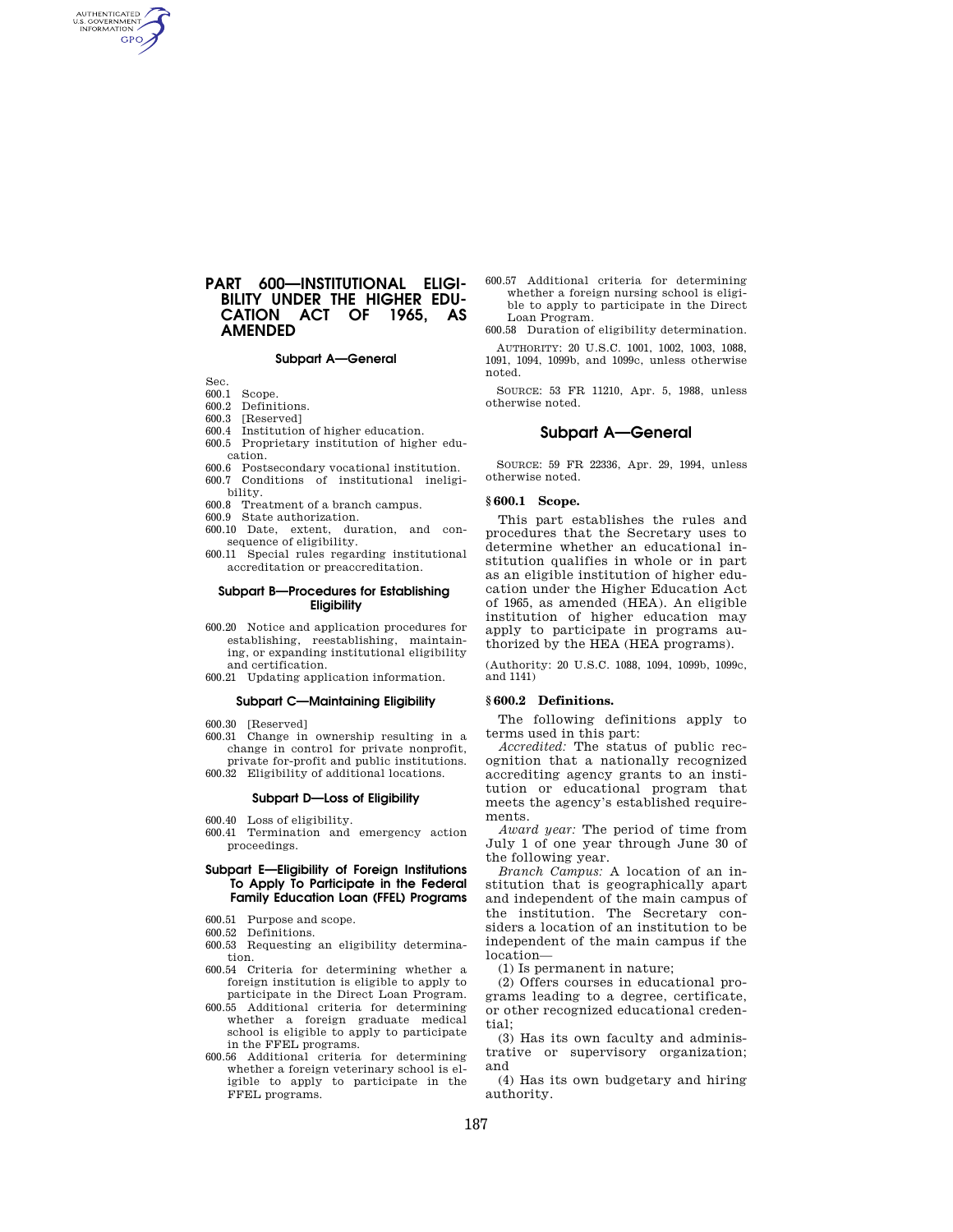# **PART 600—INSTITUTIONAL ELIGI-BILITY UNDER THE HIGHER EDU-CATION ACT OF 1965, AS AMENDED**

## **Subpart A—General**

Sec.<br>600.1

AUTHENTICATED<br>U.S. GOVERNMENT<br>INFORMATION **GPO** 

- Scope. 600.2 Definitions.
- 600.3 [Reserved]
- 600.4 Institution of higher education.
- 600.5 Proprietary institution of higher education.
- 600.6 Postsecondary vocational institution. 600.7 Conditions of institutional ineligi-
- bility.
- 600.8 Treatment of a branch campus.
- 600.9 State authorization. 600.10 Date, extent, duration, and con-
- sequence of eligibility. 600.11 Special rules regarding institutional
- accreditation or preaccreditation.

## **Subpart B—Procedures for Establishing Eligibility**

- 600.20 Notice and application procedures for establishing, reestablishing, maintaining, or expanding institutional eligibility and certification.
- 600.21 Updating application information.

## **Subpart C—Maintaining Eligibility**

- 600.30 [Reserved]
- 600.31 Change in ownership resulting in a change in control for private nonprofit, private for-profit and public institutions.
- 600.32 Eligibility of additional locations.

## **Subpart D—Loss of Eligibility**

- 600.40 Loss of eligibility.
- 600.41 Termination and emergency action proceedings.

## **Subpart E—Eligibility of Foreign Institutions To Apply To Participate in the Federal Family Education Loan (FFEL) Programs**

- 600.51 Purpose and scope.
- 600.52 Definitions.
- 600.53 Requesting an eligibility determination.
- 600.54 Criteria for determining whether a foreign institution is eligible to apply to participate in the Direct Loan Program.
- 600.55 Additional criteria for determining whether a foreign graduate medical school is eligible to apply to participate in the FFEL programs.
- 600.56 Additional criteria for determining whether a foreign veterinary school is eligible to apply to participate in the FFEL programs.
- 600.57 Additional criteria for determining whether a foreign nursing school is eligible to apply to participate in the Direct Loan Program.
- 600.58 Duration of eligibility determination. AUTHORITY: 20 U.S.C. 1001, 1002, 1003, 1088,

1091, 1094, 1099b, and 1099c, unless otherwise noted.

SOURCE: 53 FR 11210, Apr. 5, 1988, unless otherwise noted.

## **Subpart A—General**

SOURCE: 59 FR 22336, Apr. 29, 1994, unless otherwise noted.

#### **§ 600.1 Scope.**

This part establishes the rules and procedures that the Secretary uses to determine whether an educational institution qualifies in whole or in part as an eligible institution of higher education under the Higher Education Act of 1965, as amended (HEA). An eligible institution of higher education may apply to participate in programs authorized by the HEA (HEA programs).

(Authority: 20 U.S.C. 1088, 1094, 1099b, 1099c, and 1141)

#### **§ 600.2 Definitions.**

The following definitions apply to terms used in this part:

*Accredited:* The status of public recognition that a nationally recognized accrediting agency grants to an institution or educational program that meets the agency's established requirements.

*Award year:* The period of time from July 1 of one year through June 30 of the following year.

*Branch Campus:* A location of an institution that is geographically apart and independent of the main campus of the institution. The Secretary considers a location of an institution to be independent of the main campus if the location—

(1) Is permanent in nature;

(2) Offers courses in educational programs leading to a degree, certificate, or other recognized educational credential;

(3) Has its own faculty and administrative or supervisory organization; and

(4) Has its own budgetary and hiring authority.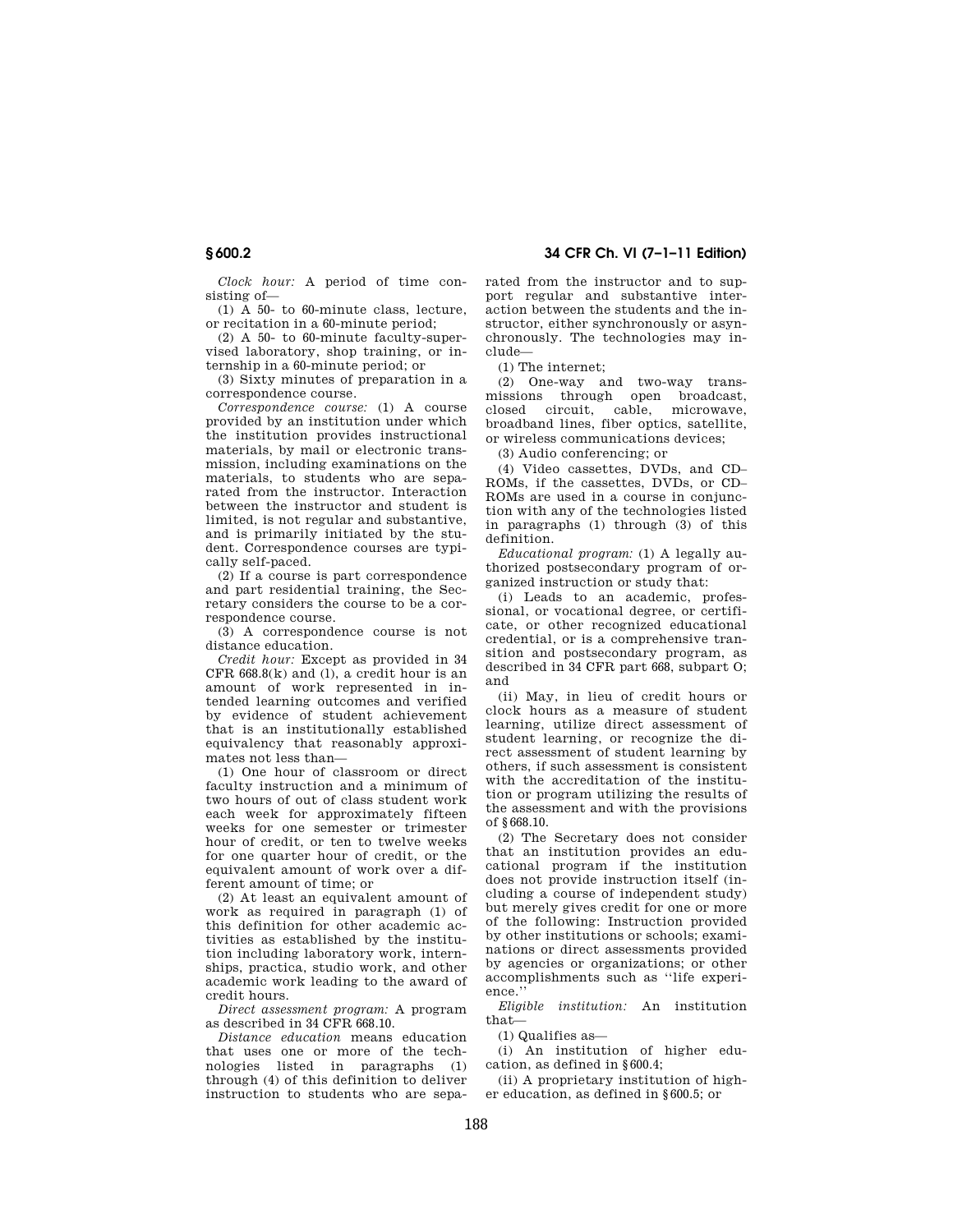**§ 600.2 34 CFR Ch. VI (7–1–11 Edition)** 

*Clock hour:* A period of time consisting of—

(1) A 50- to 60-minute class, lecture, or recitation in a 60-minute period;

(2) A 50- to 60-minute faculty-supervised laboratory, shop training, or internship in a 60-minute period; or

(3) Sixty minutes of preparation in a correspondence course.

*Correspondence course:* (1) A course provided by an institution under which the institution provides instructional materials, by mail or electronic transmission, including examinations on the materials, to students who are separated from the instructor. Interaction between the instructor and student is limited, is not regular and substantive, and is primarily initiated by the student. Correspondence courses are typically self-paced.

(2) If a course is part correspondence and part residential training, the Secretary considers the course to be a correspondence course.

(3) A correspondence course is not distance education.

*Credit hour:* Except as provided in 34  $CFR$  668.8( $k$ ) and (1), a credit hour is an amount of work represented in intended learning outcomes and verified by evidence of student achievement that is an institutionally established equivalency that reasonably approximates not less than—

(1) One hour of classroom or direct faculty instruction and a minimum of two hours of out of class student work each week for approximately fifteen weeks for one semester or trimester hour of credit, or ten to twelve weeks for one quarter hour of credit, or the equivalent amount of work over a different amount of time; or

(2) At least an equivalent amount of work as required in paragraph (1) of this definition for other academic activities as established by the institution including laboratory work, internships, practica, studio work, and other academic work leading to the award of credit hours.

*Direct assessment program:* A program as described in 34 CFR 668.10.

*Distance education* means education that uses one or more of the technologies listed in paragraphs (1) through (4) of this definition to deliver instruction to students who are separated from the instructor and to support regular and substantive interaction between the students and the instructor, either synchronously or asynchronously. The technologies may include—

(1) The internet;

(2) One-way and two-way transmissions through open broadcast, closed circuit, cable, microwave, broadband lines, fiber optics, satellite, or wireless communications devices;

(3) Audio conferencing; or

(4) Video cassettes, DVDs, and CD– ROMs, if the cassettes, DVDs, or CD– ROMs are used in a course in conjunction with any of the technologies listed in paragraphs (1) through (3) of this definition.

*Educational program:* (1) A legally authorized postsecondary program of organized instruction or study that:

(i) Leads to an academic, professional, or vocational degree, or certificate, or other recognized educational credential, or is a comprehensive transition and postsecondary program, as described in 34 CFR part 668, subpart O; and

(ii) May, in lieu of credit hours or clock hours as a measure of student learning, utilize direct assessment of student learning, or recognize the direct assessment of student learning by others, if such assessment is consistent with the accreditation of the institution or program utilizing the results of the assessment and with the provisions of §668.10.

(2) The Secretary does not consider that an institution provides an educational program if the institution does not provide instruction itself (including a course of independent study) but merely gives credit for one or more of the following: Instruction provided by other institutions or schools; examinations or direct assessments provided by agencies or organizations; or other accomplishments such as ''life experience.''

*Eligible institution:* An institution that—

(1) Qualifies as—

(i) An institution of higher education, as defined in §600.4;

(ii) A proprietary institution of higher education, as defined in §600.5; or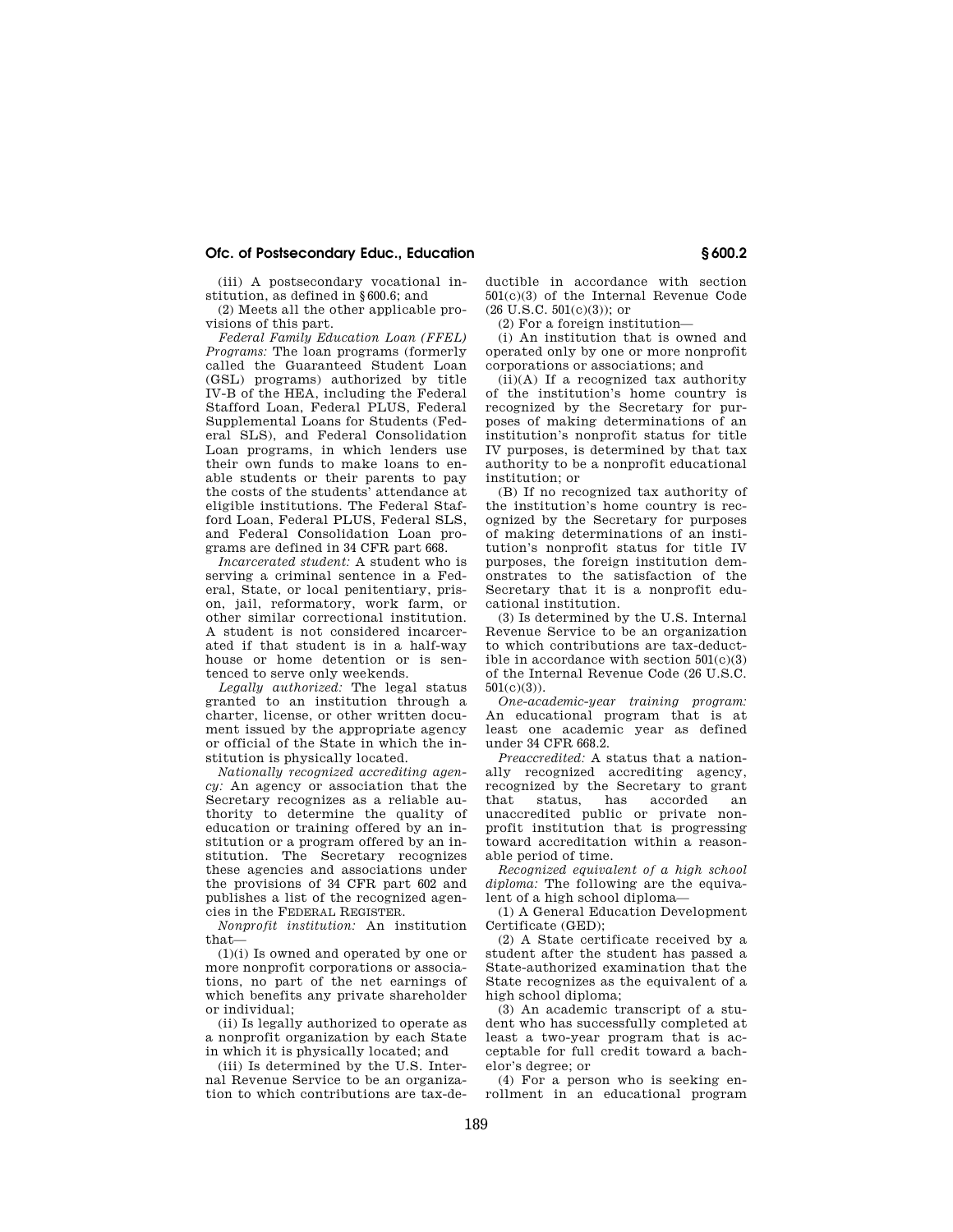## **Ofc. of Postsecondary Educ., Education § 600.2**

(iii) A postsecondary vocational institution, as defined in §600.6; and

(2) Meets all the other applicable provisions of this part.

*Federal Family Education Loan (FFEL) Programs:* The loan programs (formerly called the Guaranteed Student Loan (GSL) programs) authorized by title IV-B of the HEA, including the Federal Stafford Loan, Federal PLUS, Federal Supplemental Loans for Students (Federal SLS), and Federal Consolidation Loan programs, in which lenders use their own funds to make loans to enable students or their parents to pay the costs of the students' attendance at eligible institutions. The Federal Stafford Loan, Federal PLUS, Federal SLS and Federal Consolidation Loan programs are defined in 34 CFR part 668.

*Incarcerated student:* A student who is serving a criminal sentence in a Federal, State, or local penitentiary, prison, jail, reformatory, work farm, or other similar correctional institution. A student is not considered incarcerated if that student is in a half-way house or home detention or is sentenced to serve only weekends.

*Legally authorized:* The legal status granted to an institution through a charter, license, or other written document issued by the appropriate agency or official of the State in which the institution is physically located.

*Nationally recognized accrediting agency:* An agency or association that the Secretary recognizes as a reliable authority to determine the quality of education or training offered by an institution or a program offered by an institution. The Secretary recognizes these agencies and associations under the provisions of 34 CFR part 602 and publishes a list of the recognized agen-.<br>cies in the FEDERAL REGISTER.

*Nonprofit institution:* An institution that—

(1)(i) Is owned and operated by one or more nonprofit corporations or associations, no part of the net earnings of which benefits any private shareholder or individual;

(ii) Is legally authorized to operate as a nonprofit organization by each State in which it is physically located; and

(iii) Is determined by the U.S. Internal Revenue Service to be an organization to which contributions are tax-deductible in accordance with section 501(c)(3) of the Internal Revenue Code  $(26 \text{ U.S.C. } 501(c)(3))$ ; or

(2) For a foreign institution—

(i) An institution that is owned and operated only by one or more nonprofit corporations or associations; and

(ii)(A) If a recognized tax authority of the institution's home country is recognized by the Secretary for purposes of making determinations of an institution's nonprofit status for title IV purposes, is determined by that tax authority to be a nonprofit educational institution; or

(B) If no recognized tax authority of the institution's home country is recognized by the Secretary for purposes of making determinations of an institution's nonprofit status for title IV purposes, the foreign institution demonstrates to the satisfaction of the Secretary that it is a nonprofit educational institution.

(3) Is determined by the U.S. Internal Revenue Service to be an organization to which contributions are tax-deductible in accordance with section  $501(c)(3)$ of the Internal Revenue Code (26 U.S.C. 501(c)(3)).

*One-academic-year training program:*  An educational program that is at least one academic year as defined under 34 CFR 668.2.

*Preaccredited:* A status that a nationally recognized accrediting agency, recognized by the Secretary to grant that status, has accorded an unaccredited public or private nonprofit institution that is progressing toward accreditation within a reasonable period of time.

*Recognized equivalent of a high school diploma:* The following are the equivalent of a high school diploma—

(1) A General Education Development Certificate (GED);

(2) A State certificate received by a student after the student has passed a State-authorized examination that the State recognizes as the equivalent of a high school diploma;

(3) An academic transcript of a student who has successfully completed at least a two-year program that is acceptable for full credit toward a bachelor's degree; or

(4) For a person who is seeking enrollment in an educational program